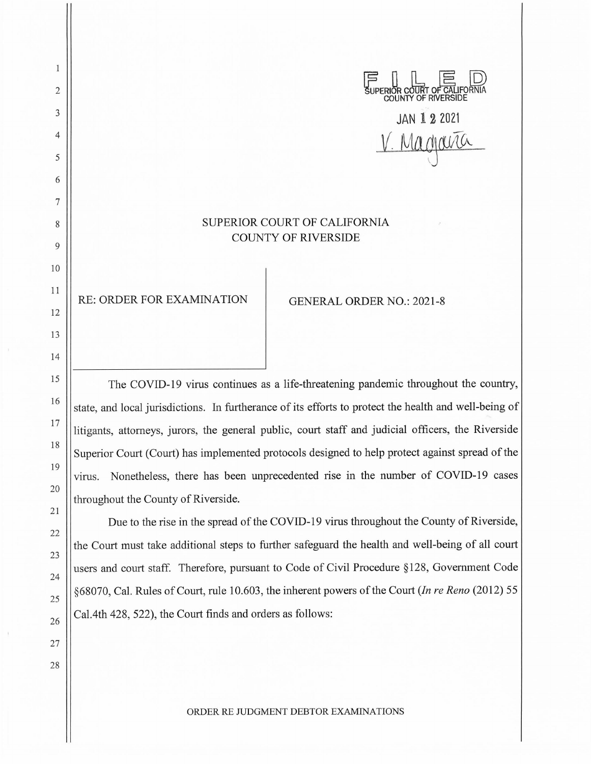SUPERIOR COURT OF CALIFORNIA **COUNTY** OF RNERSIDE JAN 1 **2** <sup>2021</sup> Magavia SUPERIOR COURT OF CALIFORNIA COUNTY OF RIVERSIDE RE: ORDER FOR EXAMINATION GENERAL ORDER NO.: 2021-8

2

 $\mathbf{1}$ 

3

4

5

6

7

8

9

10

11

12

13

14

15

16

17

18

19

20

21

22

23

24

25

26

27

28

The COVID-19 virus continues as a life-threatening pandemic throughout the country, state, and local jurisdictions. In furtherance of its efforts to protect the health and well-being of litigants, attorneys, jurors, the general public, court staff and judicial officers, the Riverside Superior Court (Court) has implemented protocols designed to help protect against spread of the virus. Nonetheless, there has been unprecedented rise in the number of COVID-19 cases throughout the County of Riverside.

Due to the rise in the spread of the COVID-19 virus throughout the County of Riverside, the Court must take additional steps to further safeguard the health and well-being of all court users and court staff. Therefore, pursuant to Code of Civil Procedure § 128, Government Code §68070, Cal. Rules of Court, rule 10.603, the inherent powers of the Court *(In re Reno* (2012) 55 Cal.4th 428, 522), the Court finds and orders as follows:

ORDER RE JUDGMENT DEBTOR EXAMINATIONS